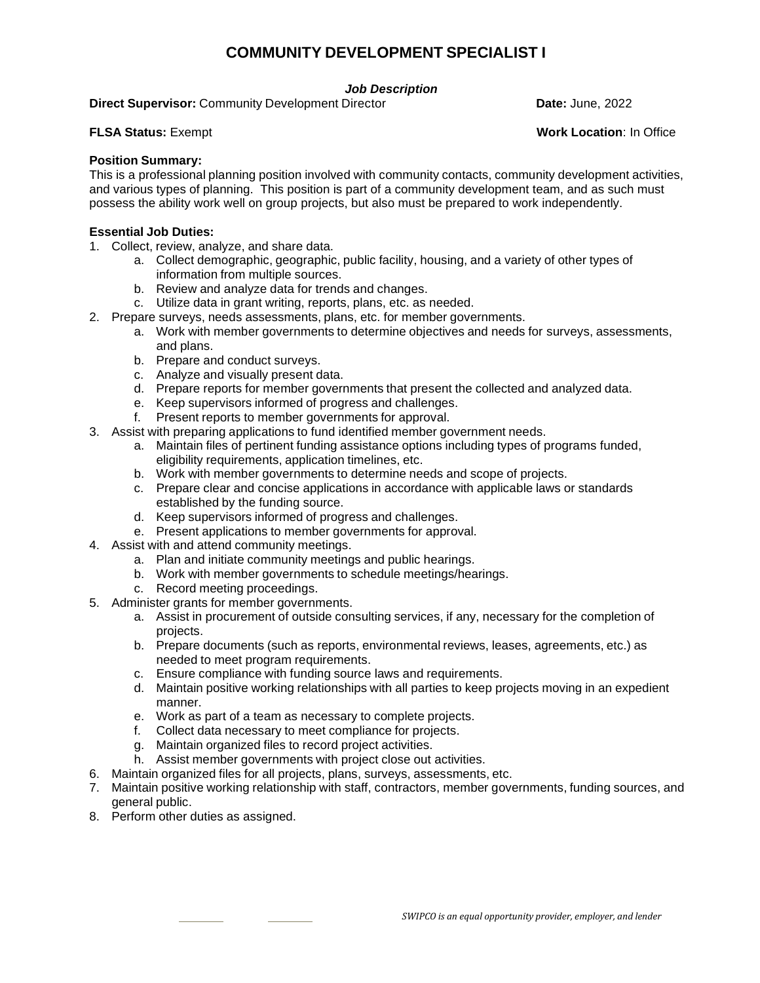# **COMMUNITY DEVELOPMENT SPECIALIST I**

### *Job Description*

**Direct Supervisor:** Community Development Director **Date: Date: June, 2022** 

**FLSA Status:** Exempt **Work Location**: In Office

#### **Position Summary:**

This is a professional planning position involved with community contacts, community development activities, and various types of planning. This position is part of a community development team, and as such must possess the ability work well on group projects, but also must be prepared to work independently.

### **Essential Job Duties:**

- 1. Collect, review, analyze, and share data.
	- a. Collect demographic, geographic, public facility, housing, and a variety of other types of information from multiple sources.
	- b. Review and analyze data for trends and changes.
	- c. Utilize data in grant writing, reports, plans, etc. as needed.
- 2. Prepare surveys, needs assessments, plans, etc. for member governments.
	- a. Work with member governments to determine objectives and needs for surveys, assessments, and plans.
	- b. Prepare and conduct surveys.
	- c. Analyze and visually present data.
	- d. Prepare reports for member governments that present the collected and analyzed data.
	- e. Keep supervisors informed of progress and challenges.
	- f. Present reports to member governments for approval.
- 3. Assist with preparing applications to fund identified member government needs.
	- a. Maintain files of pertinent funding assistance options including types of programs funded, eligibility requirements, application timelines, etc.
	- b. Work with member governments to determine needs and scope of projects.
	- c. Prepare clear and concise applications in accordance with applicable laws or standards established by the funding source.
	- d. Keep supervisors informed of progress and challenges.
	- e. Present applications to member governments for approval.
- 4. Assist with and attend community meetings.
	- a. Plan and initiate community meetings and public hearings.
	- b. Work with member governments to schedule meetings/hearings.
	- c. Record meeting proceedings.
- 5. Administer grants for member governments.
	- a. Assist in procurement of outside consulting services, if any, necessary for the completion of projects.
	- b. Prepare documents (such as reports, environmental reviews, leases, agreements, etc.) as needed to meet program requirements.
	- c. Ensure compliance with funding source laws and requirements.
	- d. Maintain positive working relationships with all parties to keep projects moving in an expedient manner.
	- e. Work as part of a team as necessary to complete projects.
	- f. Collect data necessary to meet compliance for projects.
	- g. Maintain organized files to record project activities.
	- h. Assist member governments with project close out activities.
- 6. Maintain organized files for all projects, plans, surveys, assessments, etc.
- 7. Maintain positive working relationship with staff, contractors, member governments, funding sources, and general public.
- 8. Perform other duties as assigned.